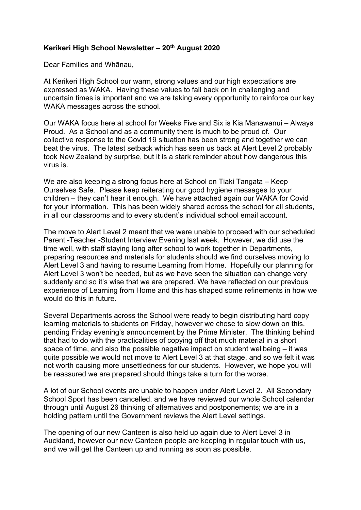## **Kerikeri High School Newsletter – 20th August 2020**

Dear Families and Whānau,

At Kerikeri High School our warm, strong values and our high expectations are expressed as WAKA. Having these values to fall back on in challenging and uncertain times is important and we are taking every opportunity to reinforce our key WAKA messages across the school.

Our WAKA focus here at school for Weeks Five and Six is Kia Manawanui – Always Proud. As a School and as a community there is much to be proud of. Our collective response to the Covid 19 situation has been strong and together we can beat the virus. The latest setback which has seen us back at Alert Level 2 probably took New Zealand by surprise, but it is a stark reminder about how dangerous this virus is.

We are also keeping a strong focus here at School on Tiaki Tangata – Keep Ourselves Safe. Please keep reiterating our good hygiene messages to your children – they can't hear it enough. We have attached again our WAKA for Covid for your information. This has been widely shared across the school for all students, in all our classrooms and to every student's individual school email account.

The move to Alert Level 2 meant that we were unable to proceed with our scheduled Parent -Teacher -Student Interview Evening last week. However, we did use the time well, with staff staying long after school to work together in Departments, preparing resources and materials for students should we find ourselves moving to Alert Level 3 and having to resume Learning from Home. Hopefully our planning for Alert Level 3 won't be needed, but as we have seen the situation can change very suddenly and so it's wise that we are prepared. We have reflected on our previous experience of Learning from Home and this has shaped some refinements in how we would do this in future.

Several Departments across the School were ready to begin distributing hard copy learning materials to students on Friday, however we chose to slow down on this, pending Friday evening's announcement by the Prime Minister. The thinking behind that had to do with the practicalities of copying off that much material in a short space of time, and also the possible negative impact on student wellbeing – it was quite possible we would not move to Alert Level 3 at that stage, and so we felt it was not worth causing more unsettledness for our students. However, we hope you will be reassured we are prepared should things take a turn for the worse.

A lot of our School events are unable to happen under Alert Level 2. All Secondary School Sport has been cancelled, and we have reviewed our whole School calendar through until August 26 thinking of alternatives and postponements; we are in a holding pattern until the Government reviews the Alert Level settings.

The opening of our new Canteen is also held up again due to Alert Level 3 in Auckland, however our new Canteen people are keeping in regular touch with us, and we will get the Canteen up and running as soon as possible.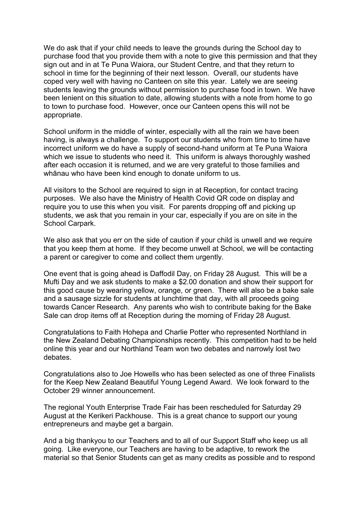We do ask that if your child needs to leave the grounds during the School day to purchase food that you provide them with a note to give this permission and that they sign out and in at Te Puna Waiora, our Student Centre, and that they return to school in time for the beginning of their next lesson. Overall, our students have coped very well with having no Canteen on site this year. Lately we are seeing students leaving the grounds without permission to purchase food in town. We have been lenient on this situation to date, allowing students with a note from home to go to town to purchase food. However, once our Canteen opens this will not be appropriate.

School uniform in the middle of winter, especially with all the rain we have been having, is always a challenge. To support our students who from time to time have incorrect uniform we do have a supply of second-hand uniform at Te Puna Waiora which we issue to students who need it. This uniform is always thoroughly washed after each occasion it is returned, and we are very grateful to those families and whānau who have been kind enough to donate uniform to us.

All visitors to the School are required to sign in at Reception, for contact tracing purposes. We also have the Ministry of Health Covid QR code on display and require you to use this when you visit. For parents dropping off and picking up students, we ask that you remain in your car, especially if you are on site in the School Carpark.

We also ask that you err on the side of caution if your child is unwell and we require that you keep them at home. If they become unwell at School, we will be contacting a parent or caregiver to come and collect them urgently.

One event that is going ahead is Daffodil Day, on Friday 28 August. This will be a Mufti Day and we ask students to make a \$2.00 donation and show their support for this good cause by wearing yellow, orange, or green. There will also be a bake sale and a sausage sizzle for students at lunchtime that day, with all proceeds going towards Cancer Research. Any parents who wish to contribute baking for the Bake Sale can drop items off at Reception during the morning of Friday 28 August.

Congratulations to Faith Hohepa and Charlie Potter who represented Northland in the New Zealand Debating Championships recently. This competition had to be held online this year and our Northland Team won two debates and narrowly lost two debates.

Congratulations also to Joe Howells who has been selected as one of three Finalists for the Keep New Zealand Beautiful Young Legend Award. We look forward to the October 29 winner announcement.

The regional Youth Enterprise Trade Fair has been rescheduled for Saturday 29 August at the Kerikeri Packhouse. This is a great chance to support our young entrepreneurs and maybe get a bargain.

And a big thankyou to our Teachers and to all of our Support Staff who keep us all going. Like everyone, our Teachers are having to be adaptive, to rework the material so that Senior Students can get as many credits as possible and to respond